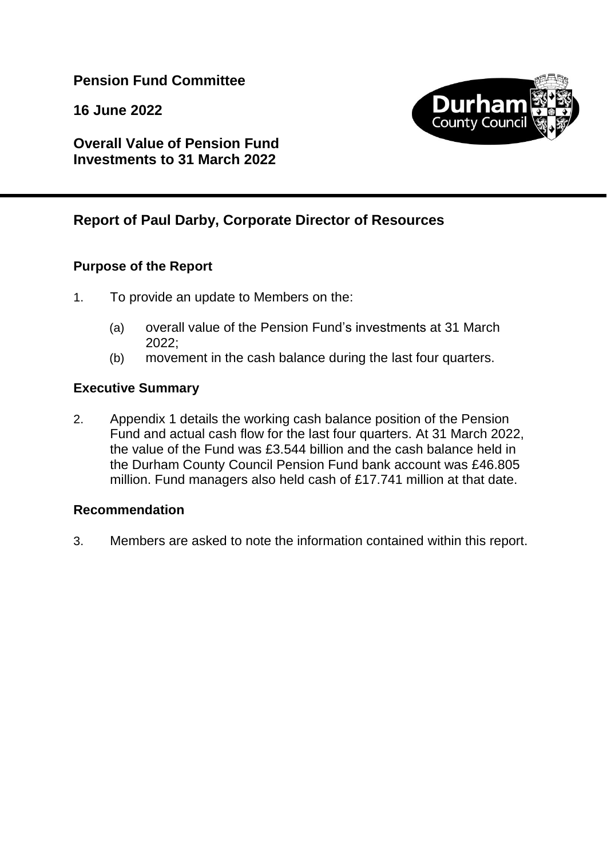## **Pension Fund Committee**

**16 June 2022**



**Overall Value of Pension Fund Investments to 31 March 2022**

# **Report of Paul Darby, Corporate Director of Resources**

### **Purpose of the Report**

- 1. To provide an update to Members on the:
	- (a) overall value of the Pension Fund's investments at 31 March 2022;
	- (b) movement in the cash balance during the last four quarters.

### **Executive Summary**

2. Appendix 1 details the working cash balance position of the Pension Fund and actual cash flow for the last four quarters. At 31 March 2022, the value of the Fund was £3.544 billion and the cash balance held in the Durham County Council Pension Fund bank account was £46.805 million. Fund managers also held cash of £17.741 million at that date.

#### **Recommendation**

3. Members are asked to note the information contained within this report.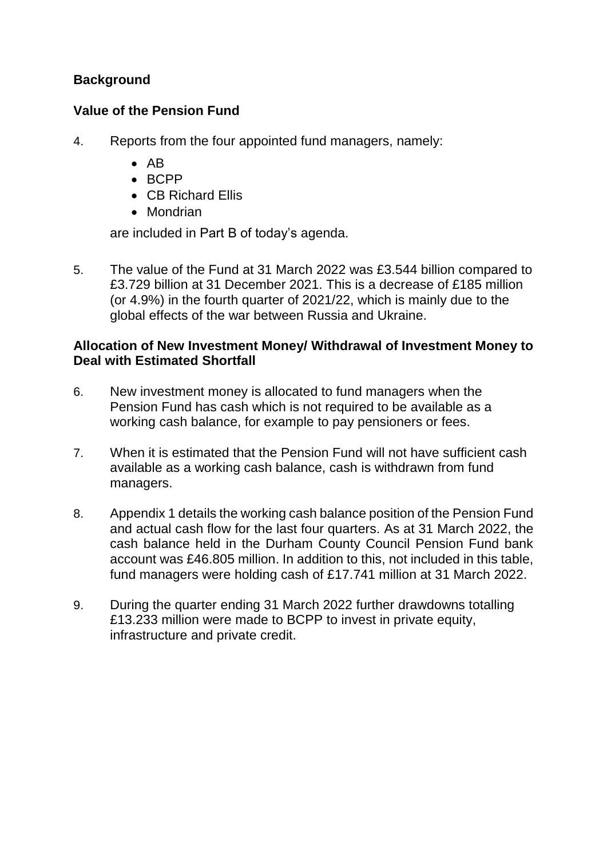## **Background**

#### **Value of the Pension Fund**

- 4. Reports from the four appointed fund managers, namely:
	- $\bullet$  AB
	- $BCPP$
	- CB Richard Ellis
	- Mondrian

are included in Part B of today's agenda.

5. The value of the Fund at 31 March 2022 was £3.544 billion compared to £3.729 billion at 31 December 2021. This is a decrease of £185 million (or 4.9%) in the fourth quarter of 2021/22, which is mainly due to the global effects of the war between Russia and Ukraine.

#### **Allocation of New Investment Money/ Withdrawal of Investment Money to Deal with Estimated Shortfall**

- 6. New investment money is allocated to fund managers when the Pension Fund has cash which is not required to be available as a working cash balance, for example to pay pensioners or fees.
- 7. When it is estimated that the Pension Fund will not have sufficient cash available as a working cash balance, cash is withdrawn from fund managers.
- 8. Appendix 1 details the working cash balance position of the Pension Fund and actual cash flow for the last four quarters. As at 31 March 2022, the cash balance held in the Durham County Council Pension Fund bank account was £46.805 million. In addition to this, not included in this table, fund managers were holding cash of £17.741 million at 31 March 2022.
- 9. During the quarter ending 31 March 2022 further drawdowns totalling £13.233 million were made to BCPP to invest in private equity, infrastructure and private credit.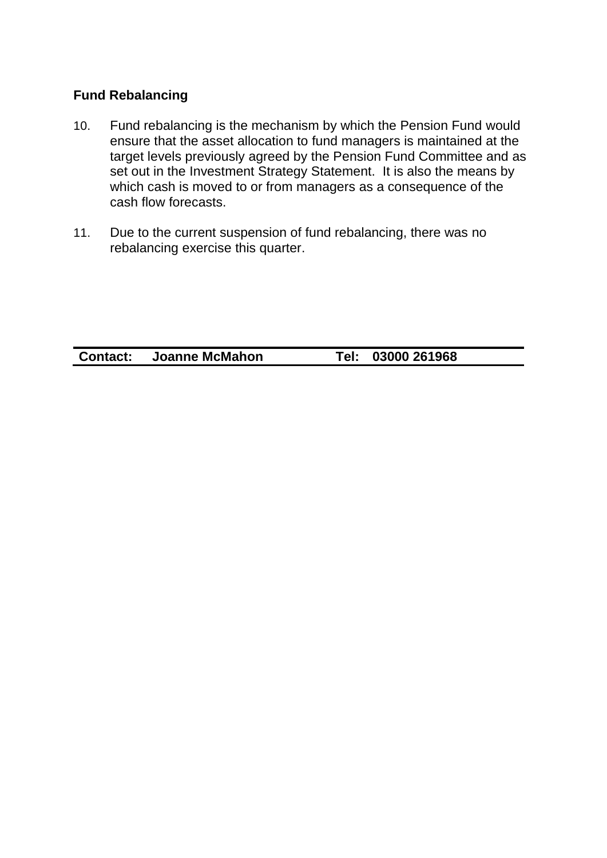### **Fund Rebalancing**

- 10. Fund rebalancing is the mechanism by which the Pension Fund would ensure that the asset allocation to fund managers is maintained at the target levels previously agreed by the Pension Fund Committee and as set out in the Investment Strategy Statement. It is also the means by which cash is moved to or from managers as a consequence of the cash flow forecasts.
- 11. Due to the current suspension of fund rebalancing, there was no rebalancing exercise this quarter.

**Contact: Joanne McMahon Tel: 03000 261968**